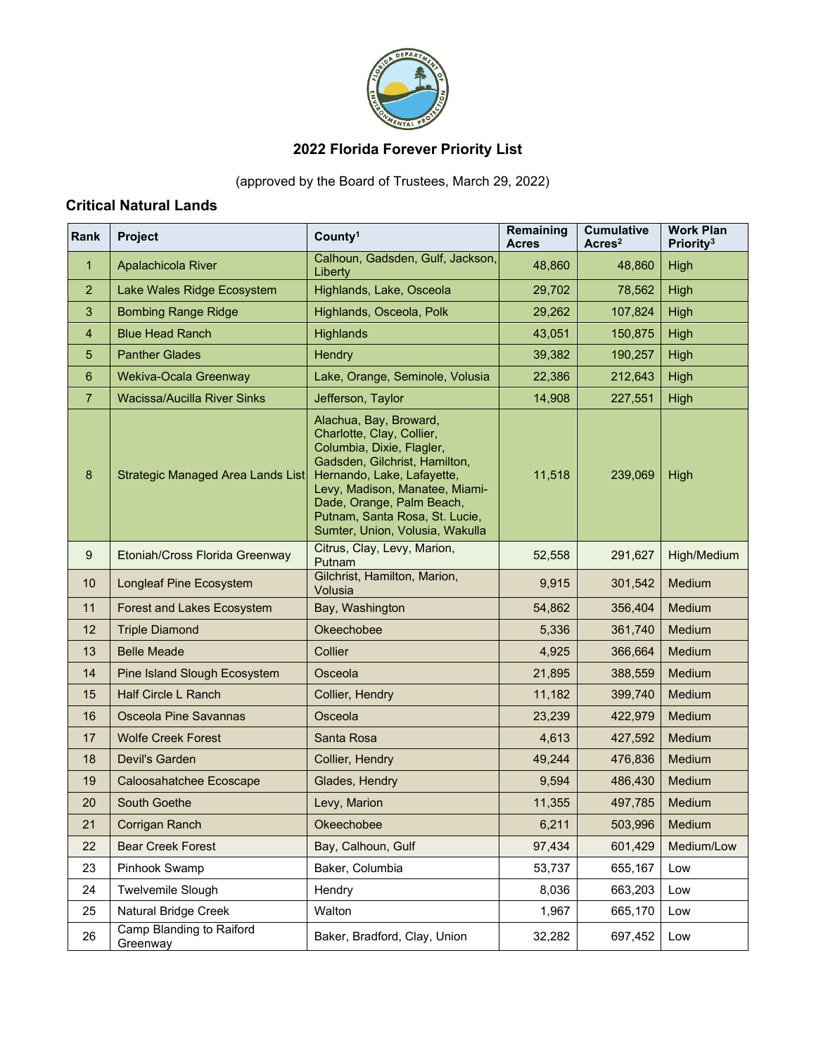

# **2022 Florida Forever Priority List**

(approved by the Board of Trustees, March 29, 2022)

### **Critical Natural Lands**

| Rank           | Project                              | County <sup>1</sup>                                                                                                                                                                                                                                                                 | Remaining<br><b>Acres</b> | <b>Cumulative</b><br>Acres <sup>2</sup> | <b>Work Plan</b><br>Priority <sup>3</sup> |
|----------------|--------------------------------------|-------------------------------------------------------------------------------------------------------------------------------------------------------------------------------------------------------------------------------------------------------------------------------------|---------------------------|-----------------------------------------|-------------------------------------------|
| 1              | Apalachicola River                   | Calhoun, Gadsden, Gulf, Jackson,<br>Liberty                                                                                                                                                                                                                                         | 48,860                    | 48,860                                  | High                                      |
| $\overline{2}$ | Lake Wales Ridge Ecosystem           | Highlands, Lake, Osceola                                                                                                                                                                                                                                                            | 29,702                    | 78,562                                  | High                                      |
| 3              | <b>Bombing Range Ridge</b>           | Highlands, Osceola, Polk                                                                                                                                                                                                                                                            | 29,262                    | 107,824                                 | High                                      |
| $\overline{4}$ | <b>Blue Head Ranch</b>               | Highlands                                                                                                                                                                                                                                                                           | 43,051                    | 150,875                                 | High                                      |
| 5              | <b>Panther Glades</b>                | Hendry                                                                                                                                                                                                                                                                              | 39,382                    | 190,257                                 | High                                      |
| 6              | Wekiva-Ocala Greenway                | Lake, Orange, Seminole, Volusia                                                                                                                                                                                                                                                     | 22,386                    | 212,643                                 | High                                      |
| $\overline{7}$ | Wacissa/Aucilla River Sinks          | Jefferson, Taylor                                                                                                                                                                                                                                                                   | 14,908<br>227,551         |                                         | High                                      |
| 8              | Strategic Managed Area Lands List    | Alachua, Bay, Broward,<br>Charlotte, Clay, Collier,<br>Columbia, Dixie, Flagler,<br>Gadsden, Gilchrist, Hamilton,<br>Hernando, Lake, Lafayette,<br>Levy, Madison, Manatee, Miami-<br>Dade, Orange, Palm Beach,<br>Putnam, Santa Rosa, St. Lucie,<br>Sumter, Union, Volusia, Wakulla | 11,518                    | 239,069                                 | High                                      |
| 9              | Etoniah/Cross Florida Greenway       | Citrus, Clay, Levy, Marion,<br>Putnam                                                                                                                                                                                                                                               | 52,558                    | 291,627                                 | High/Medium                               |
| 10             | <b>Longleaf Pine Ecosystem</b>       | Gilchrist, Hamilton, Marion,<br>Volusia                                                                                                                                                                                                                                             | 9,915                     | 301,542                                 | Medium                                    |
| 11             | Forest and Lakes Ecosystem           | Bay, Washington                                                                                                                                                                                                                                                                     | 54,862                    | 356,404                                 | Medium                                    |
| 12             | <b>Triple Diamond</b>                | Okeechobee                                                                                                                                                                                                                                                                          | 5,336                     | 361,740                                 | Medium                                    |
| 13             | <b>Belle Meade</b>                   | Collier                                                                                                                                                                                                                                                                             | 4,925                     | 366,664                                 | Medium                                    |
| 14             | Pine Island Slough Ecosystem         | Osceola                                                                                                                                                                                                                                                                             | 21,895                    | 388,559                                 | Medium                                    |
| 15             | <b>Half Circle L Ranch</b>           | Collier, Hendry                                                                                                                                                                                                                                                                     | 11,182                    | 399,740                                 | Medium                                    |
| 16             | <b>Osceola Pine Savannas</b>         | Osceola                                                                                                                                                                                                                                                                             | 23,239                    | 422,979                                 | Medium                                    |
| 17             | <b>Wolfe Creek Forest</b>            | Santa Rosa                                                                                                                                                                                                                                                                          | 4,613                     | 427,592                                 | Medium                                    |
| 18             | Devil's Garden                       | Collier, Hendry                                                                                                                                                                                                                                                                     | 49,244                    | 476,836                                 | <b>Medium</b>                             |
| 19             | Caloosahatchee Ecoscape              | Glades, Hendry                                                                                                                                                                                                                                                                      | 9,594                     | 486,430                                 | <b>Medium</b>                             |
| 20             | <b>South Goethe</b>                  | Levy, Marion                                                                                                                                                                                                                                                                        | 11,355                    | 497,785                                 | Medium                                    |
| 21             | Corrigan Ranch                       | Okeechobee                                                                                                                                                                                                                                                                          | 6,211                     | 503,996                                 | Medium                                    |
| 22             | <b>Bear Creek Forest</b>             | Bay, Calhoun, Gulf                                                                                                                                                                                                                                                                  | 97,434                    | 601,429                                 | Medium/Low                                |
| 23             | Pinhook Swamp                        | Baker, Columbia                                                                                                                                                                                                                                                                     | 53,737                    | 655,167                                 | Low                                       |
| 24             | <b>Twelvemile Slough</b>             | Hendry                                                                                                                                                                                                                                                                              | 8,036                     | 663,203                                 | Low                                       |
| 25             | Natural Bridge Creek                 | Walton                                                                                                                                                                                                                                                                              | 1,967                     | 665,170                                 | Low                                       |
| 26             | Camp Blanding to Raiford<br>Greenway | Baker, Bradford, Clay, Union                                                                                                                                                                                                                                                        | 32,282                    | 697,452                                 | Low                                       |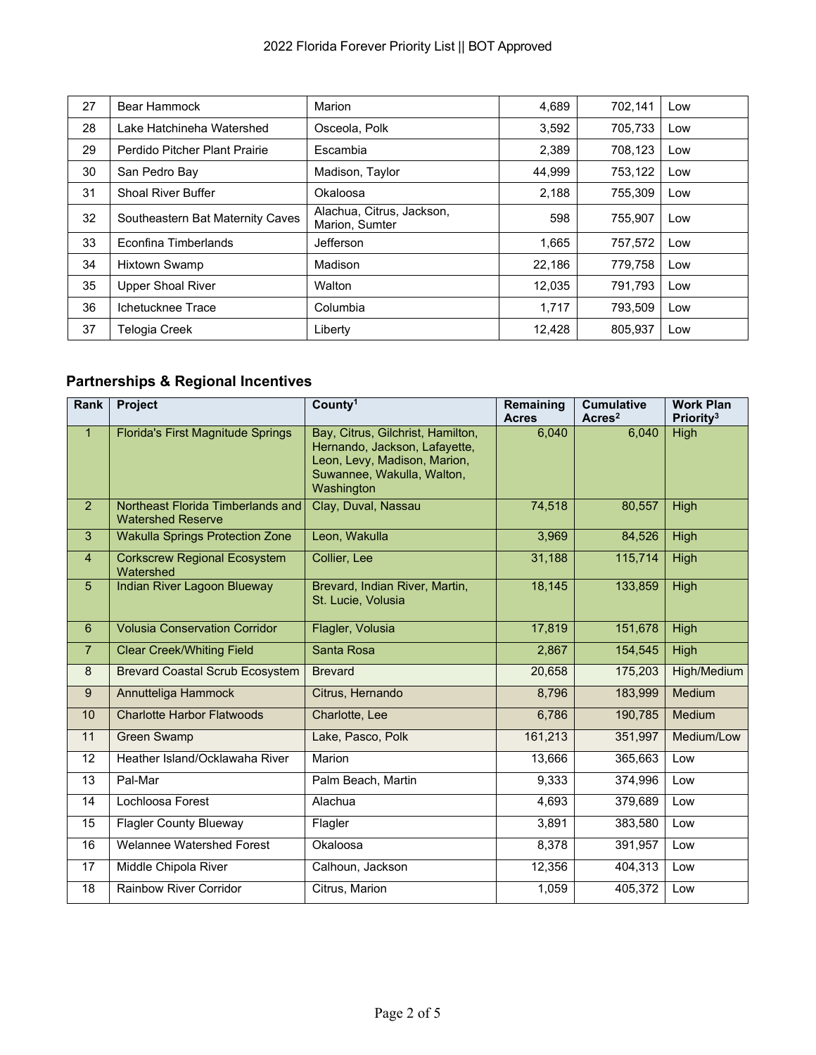| 27 | Bear Hammock                     | Marion                                      | 4,689  | 702,141 | Low |
|----|----------------------------------|---------------------------------------------|--------|---------|-----|
| 28 | Lake Hatchineha Watershed        | Osceola, Polk                               | 3,592  | 705,733 | Low |
| 29 | Perdido Pitcher Plant Prairie    | Escambia                                    | 2,389  | 708,123 | Low |
| 30 | San Pedro Bay                    | Madison, Taylor                             | 44,999 | 753,122 | Low |
| 31 | <b>Shoal River Buffer</b>        | Okaloosa                                    | 2,188  | 755,309 | Low |
| 32 | Southeastern Bat Maternity Caves | Alachua, Citrus, Jackson,<br>Marion, Sumter | 598    | 755,907 | Low |
| 33 | Econfina Timberlands             | Jefferson                                   | 1,665  | 757,572 | Low |
| 34 | <b>Hixtown Swamp</b>             | Madison                                     | 22,186 | 779,758 | Low |
| 35 | <b>Upper Shoal River</b>         | Walton                                      | 12,035 | 791,793 | Low |
| 36 | Ichetucknee Trace                | Columbia                                    | 1.717  | 793,509 | Low |
| 37 | Telogia Creek                    | Liberty                                     | 12,428 | 805,937 | Low |

# **Partnerships & Regional Incentives**

| Rank           | Project                                                       | County <sup>1</sup>                                                                                                                            | Remaining<br><b>Acres</b> | <b>Cumulative</b><br>Acres <sup>2</sup> | <b>Work Plan</b><br>Priority <sup>3</sup> |
|----------------|---------------------------------------------------------------|------------------------------------------------------------------------------------------------------------------------------------------------|---------------------------|-----------------------------------------|-------------------------------------------|
| $\mathbf{1}$   | <b>Florida's First Magnitude Springs</b>                      | Bay, Citrus, Gilchrist, Hamilton,<br>Hernando, Jackson, Lafayette,<br>Leon, Levy, Madison, Marion,<br>Suwannee, Wakulla, Walton,<br>Washington | 6,040                     | 6,040                                   | High                                      |
| $\overline{2}$ | Northeast Florida Timberlands and<br><b>Watershed Reserve</b> | Clay, Duval, Nassau                                                                                                                            | 74,518                    | 80,557                                  | High                                      |
| 3              | <b>Wakulla Springs Protection Zone</b>                        | Leon, Wakulla                                                                                                                                  | 3,969                     | 84,526                                  | <b>High</b>                               |
| $\overline{4}$ | <b>Corkscrew Regional Ecosystem</b><br>Watershed              | Collier, Lee                                                                                                                                   | 31,188                    | 115,714                                 | High                                      |
| $5\phantom{.}$ | Indian River Lagoon Blueway                                   | Brevard, Indian River, Martin,<br>St. Lucie, Volusia                                                                                           | 18,145                    | 133,859                                 | High                                      |
| 6              | <b>Volusia Conservation Corridor</b>                          | Flagler, Volusia                                                                                                                               | 17,819                    | 151,678                                 | <b>High</b>                               |
| $\overline{7}$ | <b>Clear Creek/Whiting Field</b>                              | Santa Rosa                                                                                                                                     | 2,867                     | 154,545                                 | <b>High</b>                               |
| 8              | <b>Brevard Coastal Scrub Ecosystem</b>                        | <b>Brevard</b>                                                                                                                                 | 20,658                    | 175,203                                 | High/Medium                               |
| 9              | Annutteliga Hammock                                           | Citrus, Hernando                                                                                                                               | 8,796                     | 183,999                                 | Medium                                    |
| 10             | <b>Charlotte Harbor Flatwoods</b>                             | Charlotte, Lee                                                                                                                                 | 6,786                     | 190,785                                 | Medium                                    |
| 11             | <b>Green Swamp</b>                                            | Lake, Pasco, Polk                                                                                                                              | 161,213                   | 351,997                                 | Medium/Low                                |
| 12             | Heather Island/Ocklawaha River                                | Marion                                                                                                                                         | 13,666                    | 365,663                                 | Low                                       |
| 13             | Pal-Mar                                                       | Palm Beach, Martin                                                                                                                             | 9,333                     | 374,996                                 | Low                                       |
| 14             | Lochloosa Forest                                              | Alachua                                                                                                                                        | 4,693                     | 379,689                                 | Low                                       |
| 15             | <b>Flagler County Blueway</b>                                 | Flagler                                                                                                                                        | 3,891                     | 383,580                                 | Low                                       |
| 16             | <b>Welannee Watershed Forest</b>                              | Okaloosa                                                                                                                                       | 8,378                     | 391,957                                 | Low                                       |
| 17             | Middle Chipola River                                          | Calhoun, Jackson                                                                                                                               | 12,356                    | 404,313                                 | Low                                       |
| 18             | <b>Rainbow River Corridor</b>                                 | Citrus, Marion                                                                                                                                 | 1,059                     | 405,372                                 | Low                                       |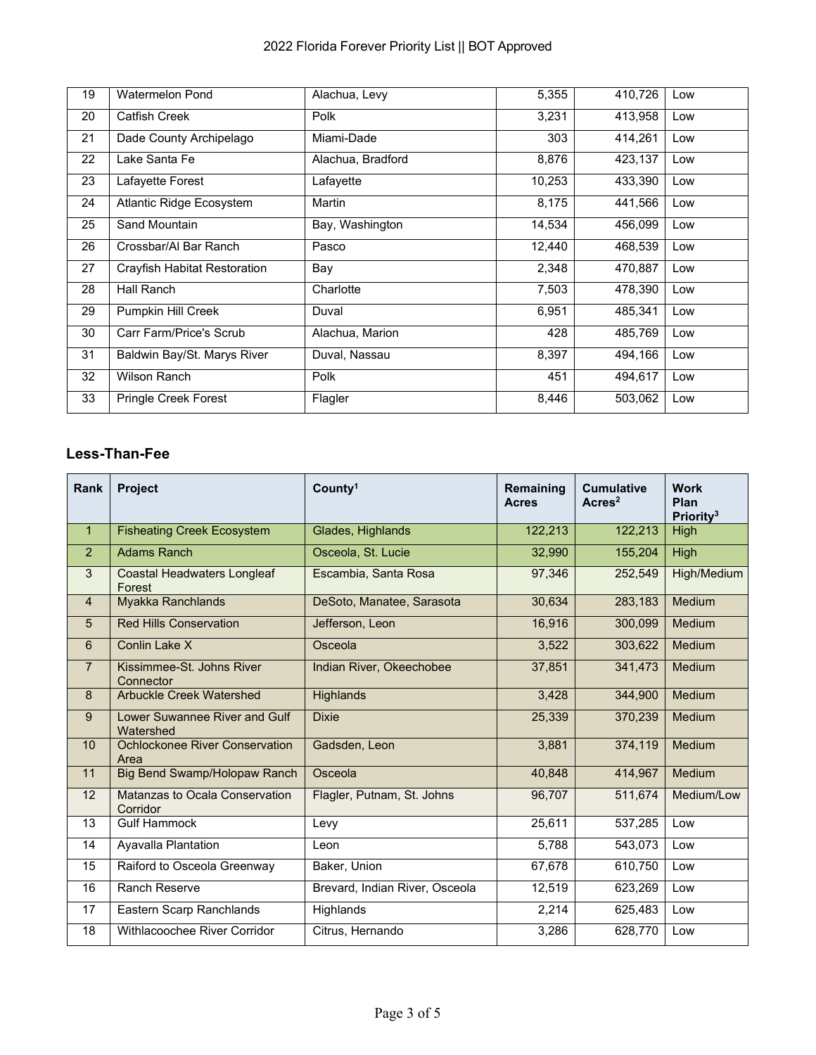| 19 | Watermelon Pond              | Alachua, Levy     | 5,355  | 410,726 | Low |
|----|------------------------------|-------------------|--------|---------|-----|
| 20 | Catfish Creek                | Polk              | 3,231  | 413,958 | Low |
| 21 | Dade County Archipelago      | Miami-Dade        | 303    | 414,261 | Low |
| 22 | Lake Santa Fe                | Alachua, Bradford | 8,876  | 423,137 | Low |
| 23 | Lafayette Forest             | Lafayette         | 10,253 | 433,390 | Low |
| 24 | Atlantic Ridge Ecosystem     | Martin            | 8,175  | 441,566 | Low |
| 25 | Sand Mountain                | Bay, Washington   | 14,534 | 456,099 | Low |
| 26 | Crossbar/Al Bar Ranch        | Pasco             | 12,440 | 468,539 | Low |
| 27 | Crayfish Habitat Restoration | Bay               | 2,348  | 470,887 | Low |
| 28 | Hall Ranch                   | Charlotte         | 7,503  | 478,390 | Low |
| 29 | Pumpkin Hill Creek           | Duval             | 6,951  | 485,341 | Low |
| 30 | Carr Farm/Price's Scrub      | Alachua, Marion   | 428    | 485,769 | Low |
| 31 | Baldwin Bay/St. Marys River  | Duval, Nassau     | 8,397  | 494,166 | Low |
| 32 | Wilson Ranch                 | Polk              | 451    | 494,617 | Low |
| 33 | <b>Pringle Creek Forest</b>  | Flagler           | 8,446  | 503,062 | Low |

#### **Less-Than-Fee**

| <b>Rank</b>     | <b>Project</b>                               | County <sup>1</sup>                 | Remaining<br><b>Acres</b> | <b>Cumulative</b><br>Arcres <sup>2</sup> | <b>Work</b><br>Plan<br>Priority <sup>3</sup> |
|-----------------|----------------------------------------------|-------------------------------------|---------------------------|------------------------------------------|----------------------------------------------|
| $\mathbf{1}$    | <b>Fisheating Creek Ecosystem</b>            | Glades, Highlands                   | 122,213                   | 122,213                                  | High                                         |
| 2               | <b>Adams Ranch</b>                           | Osceola, St. Lucie                  | 32,990                    | 155,204                                  | High                                         |
| 3               | <b>Coastal Headwaters Longleaf</b><br>Forest | Escambia, Santa Rosa                | 97,346                    | 252,549                                  | High/Medium                                  |
| $\overline{4}$  | Myakka Ranchlands                            | 30,634<br>DeSoto, Manatee, Sarasota |                           | 283,183                                  | <b>Medium</b>                                |
| 5               | <b>Red Hills Conservation</b>                | Jefferson, Leon                     | 16,916                    | 300,099                                  | Medium                                       |
| 6               | Conlin Lake X                                | Osceola                             | 3,522                     | 303,622                                  | Medium                                       |
| $\overline{7}$  | Kissimmee-St. Johns River<br>Connector       | Indian River, Okeechobee            | 37,851                    | 341,473                                  | Medium                                       |
| 8               | <b>Arbuckle Creek Watershed</b>              | <b>Highlands</b>                    | 3,428                     | 344,900                                  | <b>Medium</b>                                |
| 9               | Lower Suwannee River and Gulf<br>Watershed   | <b>Dixie</b>                        | 25,339                    | 370,239                                  | Medium                                       |
| 10 <sup>1</sup> | Ochlockonee River Conservation<br>Area       | Gadsden, Leon                       | 3,881                     | 374,119                                  | <b>Medium</b>                                |
| 11              | Big Bend Swamp/Holopaw Ranch                 | Osceola                             | 40.848                    | 414,967                                  | Medium                                       |
| 12              | Matanzas to Ocala Conservation<br>Corridor   | Flagler, Putnam, St. Johns          | 96,707                    | 511,674                                  | Medium/Low                                   |
| 13              | <b>Gulf Hammock</b>                          | Levy                                | 25,611                    | 537,285                                  | Low                                          |
| 14              | Ayavalla Plantation                          | Leon                                | 5,788                     | 543,073                                  | Low                                          |
| 15              | Raiford to Osceola Greenway                  | Baker, Union                        | 67,678                    | 610,750                                  | Low                                          |
| 16              | Ranch Reserve                                | Brevard, Indian River, Osceola      | 12,519                    | 623,269                                  | Low                                          |
| 17              | Eastern Scarp Ranchlands                     | Highlands                           | 2,214                     | 625,483                                  | Low                                          |
| 18              | Withlacoochee River Corridor                 | Citrus, Hernando                    | 3,286                     | 628,770                                  | Low                                          |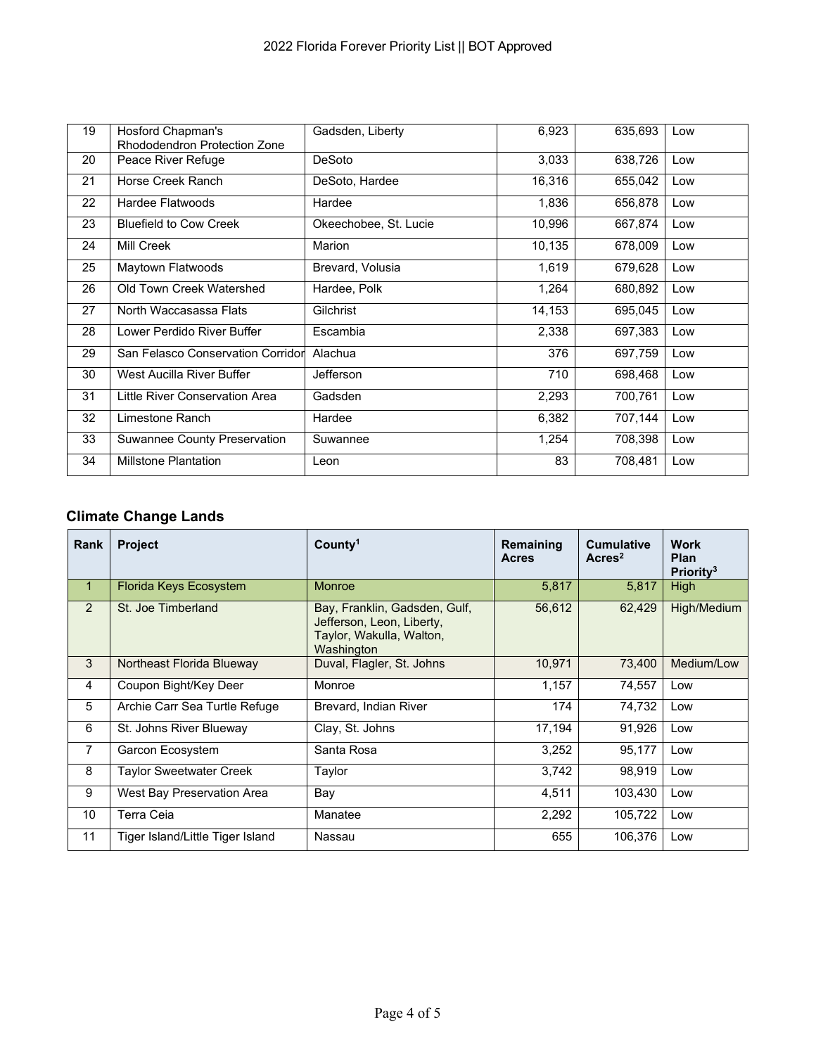| 19 | Hosford Chapman's<br>Rhododendron Protection Zone | Gadsden, Liberty      | 6,923  | 635,693 | Low |
|----|---------------------------------------------------|-----------------------|--------|---------|-----|
| 20 | Peace River Refuge                                | DeSoto                | 3,033  | 638,726 | Low |
| 21 | Horse Creek Ranch                                 | DeSoto, Hardee        | 16,316 | 655,042 | Low |
| 22 | Hardee Flatwoods                                  | Hardee                | 1,836  | 656,878 | Low |
| 23 | <b>Bluefield to Cow Creek</b>                     | Okeechobee, St. Lucie | 10,996 | 667,874 | Low |
| 24 | Mill Creek                                        | Marion                | 10,135 | 678,009 | Low |
| 25 | Maytown Flatwoods                                 | Brevard, Volusia      | 1,619  | 679,628 | Low |
| 26 | Old Town Creek Watershed                          | Hardee, Polk          | 1,264  | 680,892 | Low |
| 27 | North Waccasassa Flats                            | Gilchrist             | 14,153 | 695,045 | Low |
| 28 | Lower Perdido River Buffer                        | Escambia              | 2,338  | 697,383 | Low |
| 29 | San Felasco Conservation Corridor                 | Alachua               | 376    | 697,759 | Low |
| 30 | West Aucilla River Buffer                         | Jefferson             | 710    | 698,468 | Low |
| 31 | Little River Conservation Area                    | Gadsden               | 2,293  | 700,761 | Low |
| 32 | Limestone Ranch                                   | Hardee                | 6,382  | 707,144 | Low |
| 33 | Suwannee County Preservation                      | Suwannee              | 1,254  | 708,398 | Low |
| 34 | <b>Millstone Plantation</b>                       | Leon                  | 83     | 708,481 | Low |

### **Climate Change Lands**

| <b>Rank</b>  | <b>Project</b>                   | County <sup>1</sup>                                                                                  | Remaining<br><b>Acres</b> | <b>Cumulative</b><br>Arcres <sup>2</sup> | <b>Work</b><br>Plan<br>Priority <sup>3</sup> |
|--------------|----------------------------------|------------------------------------------------------------------------------------------------------|---------------------------|------------------------------------------|----------------------------------------------|
| $\mathbf{1}$ | Florida Keys Ecosystem           | <b>Monroe</b>                                                                                        | 5,817                     | 5,817                                    | High                                         |
| 2            | St. Joe Timberland               | Bay, Franklin, Gadsden, Gulf,<br>Jefferson, Leon, Liberty,<br>Taylor, Wakulla, Walton,<br>Washington | 56,612                    | 62,429                                   | High/Medium                                  |
| 3            | Northeast Florida Blueway        | Duval, Flagler, St. Johns                                                                            | 10.971                    | 73.400                                   | Medium/Low                                   |
| 4            | Coupon Bight/Key Deer            | Monroe                                                                                               | 1,157                     | 74,557                                   | Low                                          |
| 5            | Archie Carr Sea Turtle Refuge    | Brevard, Indian River                                                                                | 174                       | 74,732                                   | Low                                          |
| 6            | St. Johns River Blueway          | Clay, St. Johns                                                                                      | 17,194                    | 91,926                                   | Low                                          |
| 7            | Garcon Ecosystem                 | Santa Rosa                                                                                           | 3,252                     | 95,177                                   | Low                                          |
| 8            | Taylor Sweetwater Creek          | Taylor                                                                                               | 3,742                     | 98,919                                   | Low                                          |
| 9            | West Bay Preservation Area       | Bay                                                                                                  | 4,511                     | 103,430                                  | Low                                          |
| 10           | Terra Ceia                       | Manatee                                                                                              | 2,292                     | 105,722                                  | Low                                          |
| 11           | Tiger Island/Little Tiger Island | Nassau                                                                                               | 655                       | 106,376                                  | Low                                          |